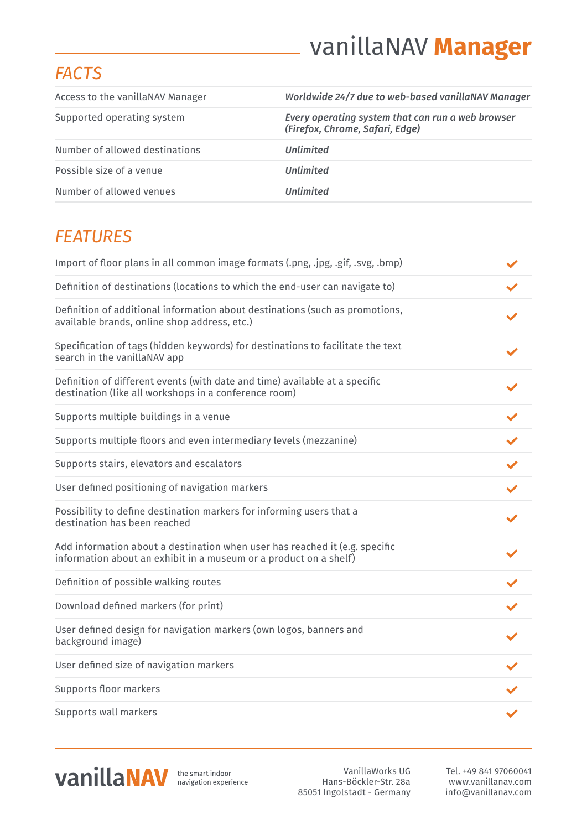# vanillaNAV **Manager**

#### *FACTS*

| Access to the vanillaNAV Manager | Worldwide 24/7 due to web-based vanillaNAV Manager                                   |
|----------------------------------|--------------------------------------------------------------------------------------|
| Supported operating system       | Every operating system that can run a web browser<br>(Firefox, Chrome, Safari, Edge) |
| Number of allowed destinations   | <b>Unlimited</b>                                                                     |
| Possible size of a venue         | <b>Unlimited</b>                                                                     |
| Number of allowed venues         | <b>Unlimited</b>                                                                     |

## *FEATURES*

| Import of floor plans in all common image formats (.png, .jpg, .gif, .svg, .bmp)                                                                 |  |
|--------------------------------------------------------------------------------------------------------------------------------------------------|--|
| Definition of destinations (locations to which the end-user can navigate to)                                                                     |  |
| Definition of additional information about destinations (such as promotions,<br>available brands, online shop address, etc.)                     |  |
| Specification of tags (hidden keywords) for destinations to facilitate the text<br>search in the vanillaNAV app                                  |  |
| Definition of different events (with date and time) available at a specific<br>destination (like all workshops in a conference room)             |  |
| Supports multiple buildings in a venue                                                                                                           |  |
| Supports multiple floors and even intermediary levels (mezzanine)                                                                                |  |
| Supports stairs, elevators and escalators                                                                                                        |  |
| User defined positioning of navigation markers                                                                                                   |  |
| Possibility to define destination markers for informing users that a<br>destination has been reached                                             |  |
| Add information about a destination when user has reached it (e.g. specific<br>information about an exhibit in a museum or a product on a shelf) |  |
| Definition of possible walking routes                                                                                                            |  |
| Download defined markers (for print)                                                                                                             |  |
| User defined design for navigation markers (own logos, banners and<br>background image)                                                          |  |
| User defined size of navigation markers                                                                                                          |  |
| Supports floor markers                                                                                                                           |  |
| Supports wall markers                                                                                                                            |  |



VanillaWorks UG Hans-Böckler-Str. 28a 85051 Ingolstadt - Germany

Tel. +49 841 97060041 www.vanillanav.com info@vanillanav.com